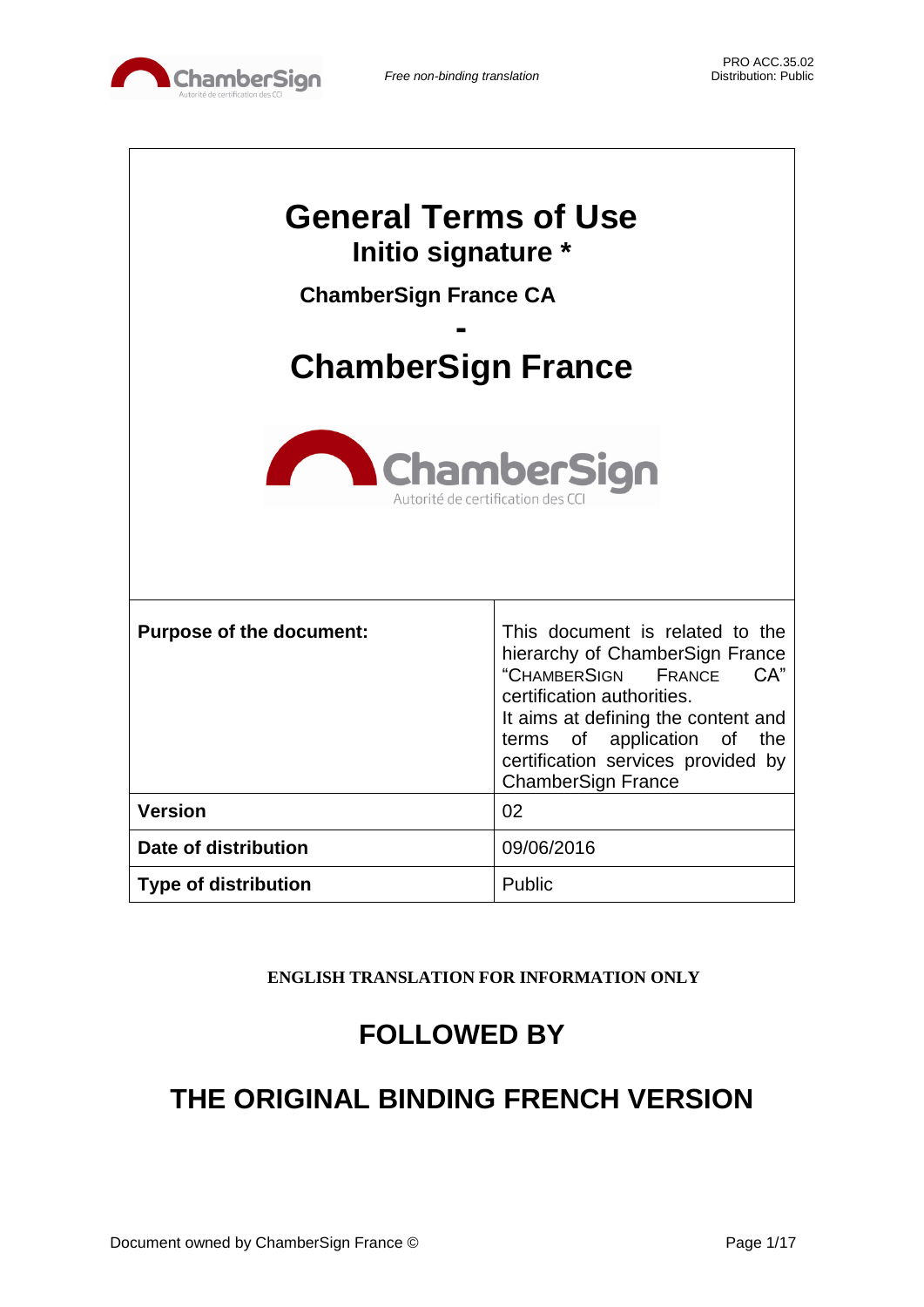

| <b>General Terms of Use</b><br>Initio signature *<br><b>ChamberSign France CA</b><br><b>ChamberSign France</b><br><b>ChamberSign</b><br>Autorité de certification des CO |                                                                                                                                                                                                                                                                               |  |  |
|--------------------------------------------------------------------------------------------------------------------------------------------------------------------------|-------------------------------------------------------------------------------------------------------------------------------------------------------------------------------------------------------------------------------------------------------------------------------|--|--|
| <b>Purpose of the document:</b>                                                                                                                                          | This document is related to the<br>hierarchy of ChamberSign France<br>"CHAMBERSIGN<br>CA"<br>FRANCE<br>certification authorities.<br>It aims at defining the content and<br>terms of application of<br>the<br>certification services provided by<br><b>ChamberSign France</b> |  |  |
| <b>Version</b>                                                                                                                                                           | 02                                                                                                                                                                                                                                                                            |  |  |
| Date of distribution                                                                                                                                                     | 09/06/2016                                                                                                                                                                                                                                                                    |  |  |
| <b>Type of distribution</b>                                                                                                                                              | Public                                                                                                                                                                                                                                                                        |  |  |

**ENGLISH TRANSLATION FOR INFORMATION ONLY**

# **FOLLOWED BY**

# **THE ORIGINAL BINDING FRENCH VERSION**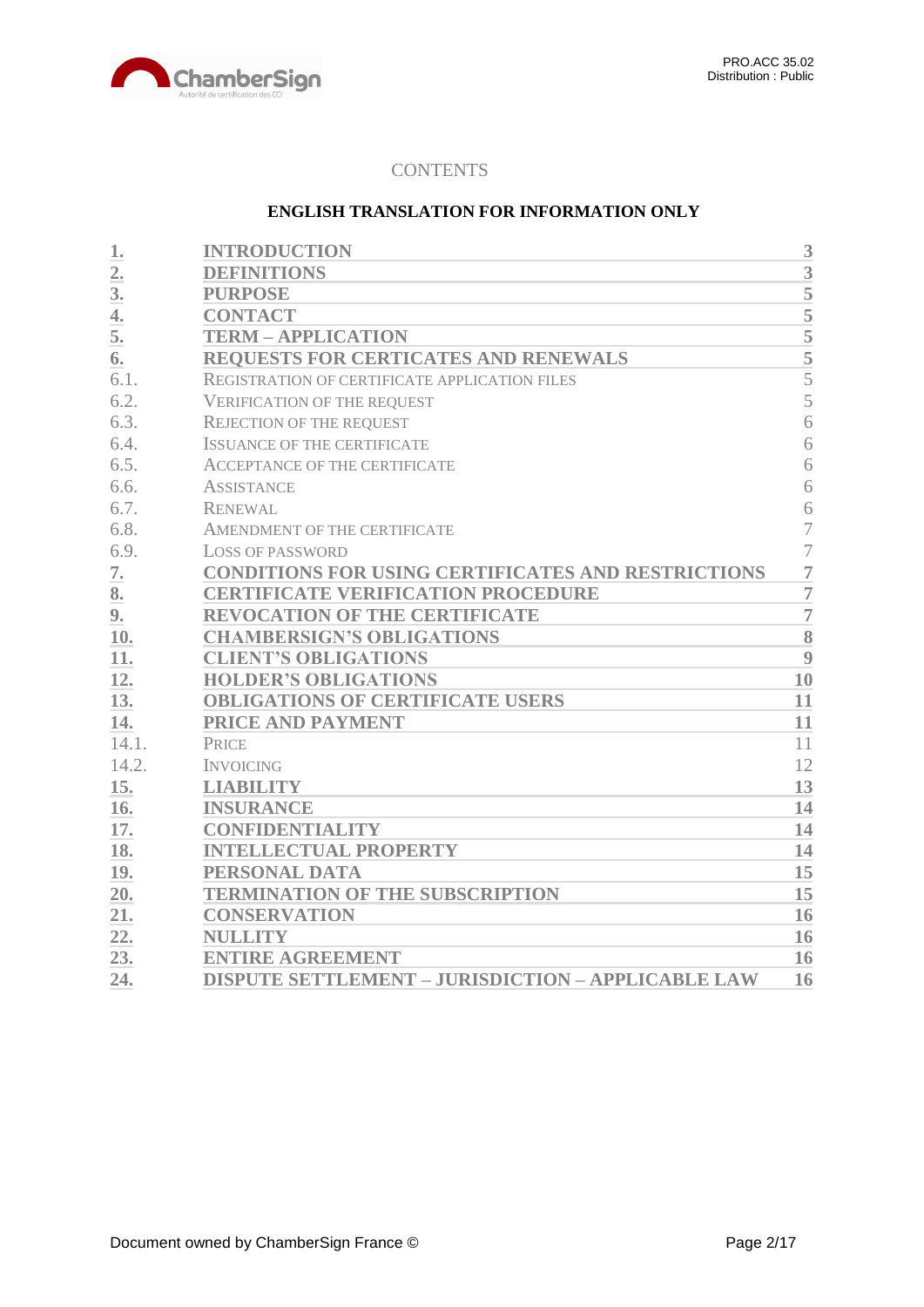

# **CONTENTS**

### **ENGLISH TRANSLATION FOR INFORMATION ONLY**

| 1.               | <b>INTRODUCTION</b>                                       | 3                        |
|------------------|-----------------------------------------------------------|--------------------------|
| $\overline{2}$ . | <b>DEFINITIONS</b>                                        | 3                        |
| 3 <sub>l</sub>   | <b>PURPOSE</b>                                            | 5                        |
| 4.               | <b>CONTACT</b>                                            | $\overline{5}$           |
| 5.               | <b>TERM - APPLICATION</b>                                 | 5                        |
| 6.               | REQUESTS FOR CERTICATES AND RENEWALS                      | $\bar{5}$                |
| 6.1.             | REGISTRATION OF CERTIFICATE APPLICATION FILES             | $\overline{5}$           |
| 6.2.             | <b>VERIFICATION OF THE REQUEST</b>                        | 5                        |
| 6.3.             | <b>REJECTION OF THE REQUEST</b>                           | 6                        |
| 6.4.             | <b>ISSUANCE OF THE CERTIFICATE</b>                        | 6                        |
| 6.5.             | <b>ACCEPTANCE OF THE CERTIFICATE</b>                      | 6                        |
| 6.6.             | <b>ASSISTANCE</b>                                         | 6                        |
| 6.7.             | <b>RENEWAL</b>                                            | 6                        |
| 6.8.             | AMENDMENT OF THE CERTIFICATE                              | $\overline{\mathcal{I}}$ |
| 6.9.             | <b>LOSS OF PASSWORD</b>                                   | $\overline{7}$           |
| 7.               | <b>CONDITIONS FOR USING CERTIFICATES AND RESTRICTIONS</b> | $\overline{7}$           |
| 8.               | <b>CERTIFICATE VERIFICATION PROCEDURE</b>                 | $\overline{7}$           |
| 9.               | <b>REVOCATION OF THE CERTIFICATE</b>                      | $\overline{7}$           |
| 10.              | <b>CHAMBERSIGN'S OBLIGATIONS</b>                          | 8                        |
| 11.              | <b>CLIENT'S OBLIGATIONS</b>                               | 9                        |
| 12.              | <b>HOLDER'S OBLIGATIONS</b>                               | 10                       |
| 13.              | <b>OBLIGATIONS OF CERTIFICATE USERS</b>                   | 11                       |
| 14.              | PRICE AND PAYMENT                                         | 11                       |
| 14.1.            | <b>PRICE</b>                                              | 11                       |
| 14.2.            | <b>INVOICING</b>                                          | 12                       |
| 15.              | <b>LIABILITY</b>                                          | 13                       |
| 16.              | <b>INSURANCE</b>                                          | 14                       |
| 17.              | <b>CONFIDENTIALITY</b>                                    | 14                       |
| 18.              | <b>INTELLECTUAL PROPERTY</b>                              | 14                       |
| 19.              | PERSONAL DATA                                             | 15                       |
| 20.              | <b>TERMINATION OF THE SUBSCRIPTION</b>                    | 15                       |
| 21.              | <b>CONSERVATION</b>                                       | 16                       |
| 22.              | <b>NULLITY</b>                                            | 16                       |
| 23.              | <b>ENTIRE AGREEMENT</b>                                   | 16                       |
| 24.              | <b>DISPUTE SETTLEMENT - JURISDICTION - APPLICABLE LAW</b> | 16                       |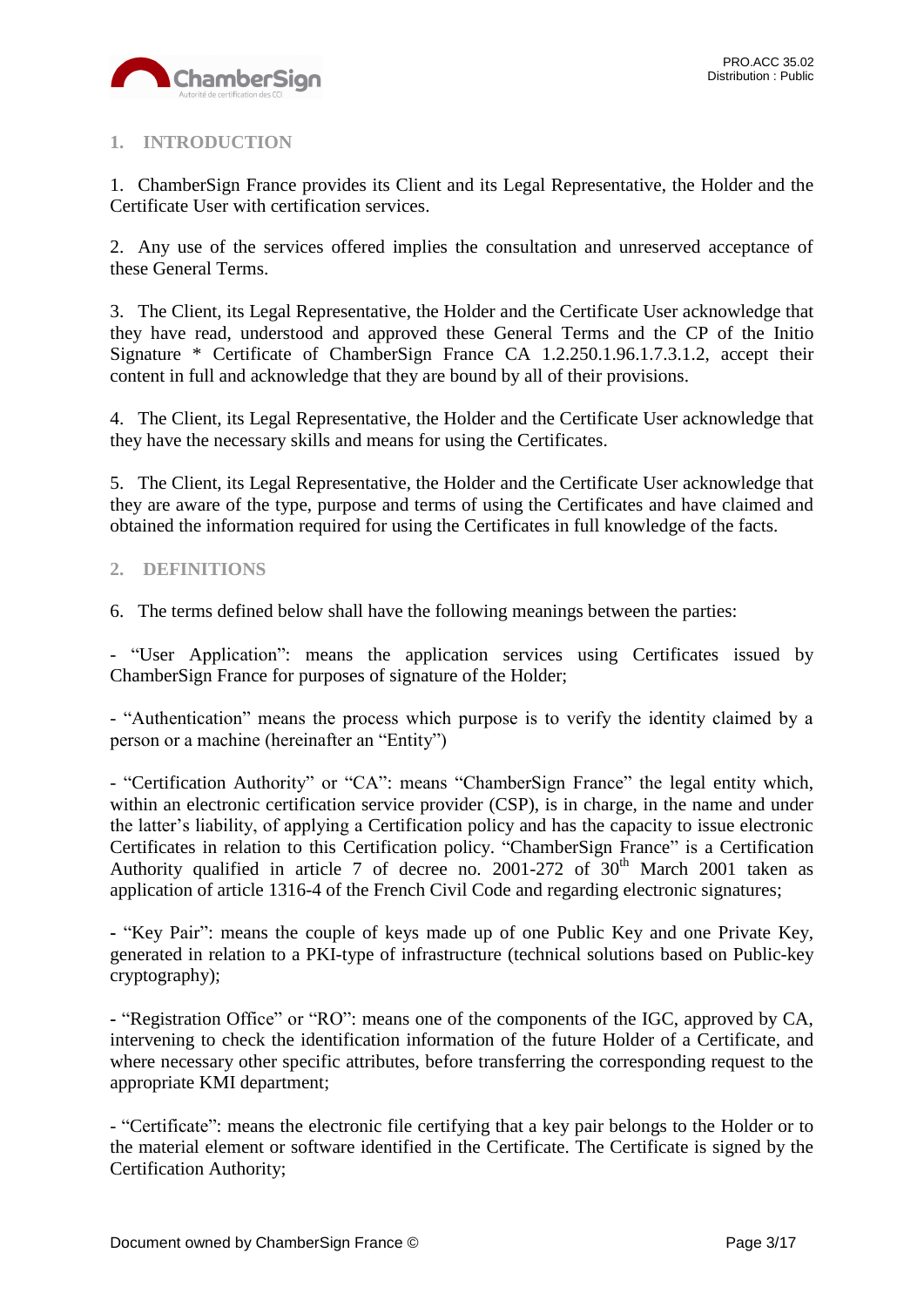

# <span id="page-2-0"></span>**1. INTRODUCTION**

1. ChamberSign France provides its Client and its Legal Representative, the Holder and the Certificate User with certification services.

2. Any use of the services offered implies the consultation and unreserved acceptance of these General Terms.

3. The Client, its Legal Representative, the Holder and the Certificate User acknowledge that they have read, understood and approved these General Terms and the CP of the Initio Signature \* Certificate of ChamberSign France CA 1.2.250.1.96.1.7.3.1.2, accept their content in full and acknowledge that they are bound by all of their provisions.

4. The Client, its Legal Representative, the Holder and the Certificate User acknowledge that they have the necessary skills and means for using the Certificates.

5. The Client, its Legal Representative, the Holder and the Certificate User acknowledge that they are aware of the type, purpose and terms of using the Certificates and have claimed and obtained the information required for using the Certificates in full knowledge of the facts.

# <span id="page-2-1"></span>**2. DEFINITIONS**

6. The terms defined below shall have the following meanings between the parties:

- "User Application": means the application services using Certificates issued by ChamberSign France for purposes of signature of the Holder;

- "Authentication" means the process which purpose is to verify the identity claimed by a person or a machine (hereinafter an "Entity")

- "Certification Authority" or "CA": means "ChamberSign France" the legal entity which, within an electronic certification service provider (CSP), is in charge, in the name and under the latter's liability, of applying a Certification policy and has the capacity to issue electronic Certificates in relation to this Certification policy. "ChamberSign France" is a Certification Authority qualified in article 7 of decree no. 2001-272 of  $30<sup>th</sup>$  March 2001 taken as application of article 1316-4 of the French Civil Code and regarding electronic signatures;

**-** "Key Pair": means the couple of keys made up of one Public Key and one Private Key, generated in relation to a PKI-type of infrastructure (technical solutions based on Public-key cryptography);

**-** "Registration Office" or "RO": means one of the components of the IGC, approved by CA, intervening to check the identification information of the future Holder of a Certificate, and where necessary other specific attributes, before transferring the corresponding request to the appropriate KMI department;

- "Certificate": means the electronic file certifying that a key pair belongs to the Holder or to the material element or software identified in the Certificate. The Certificate is signed by the Certification Authority;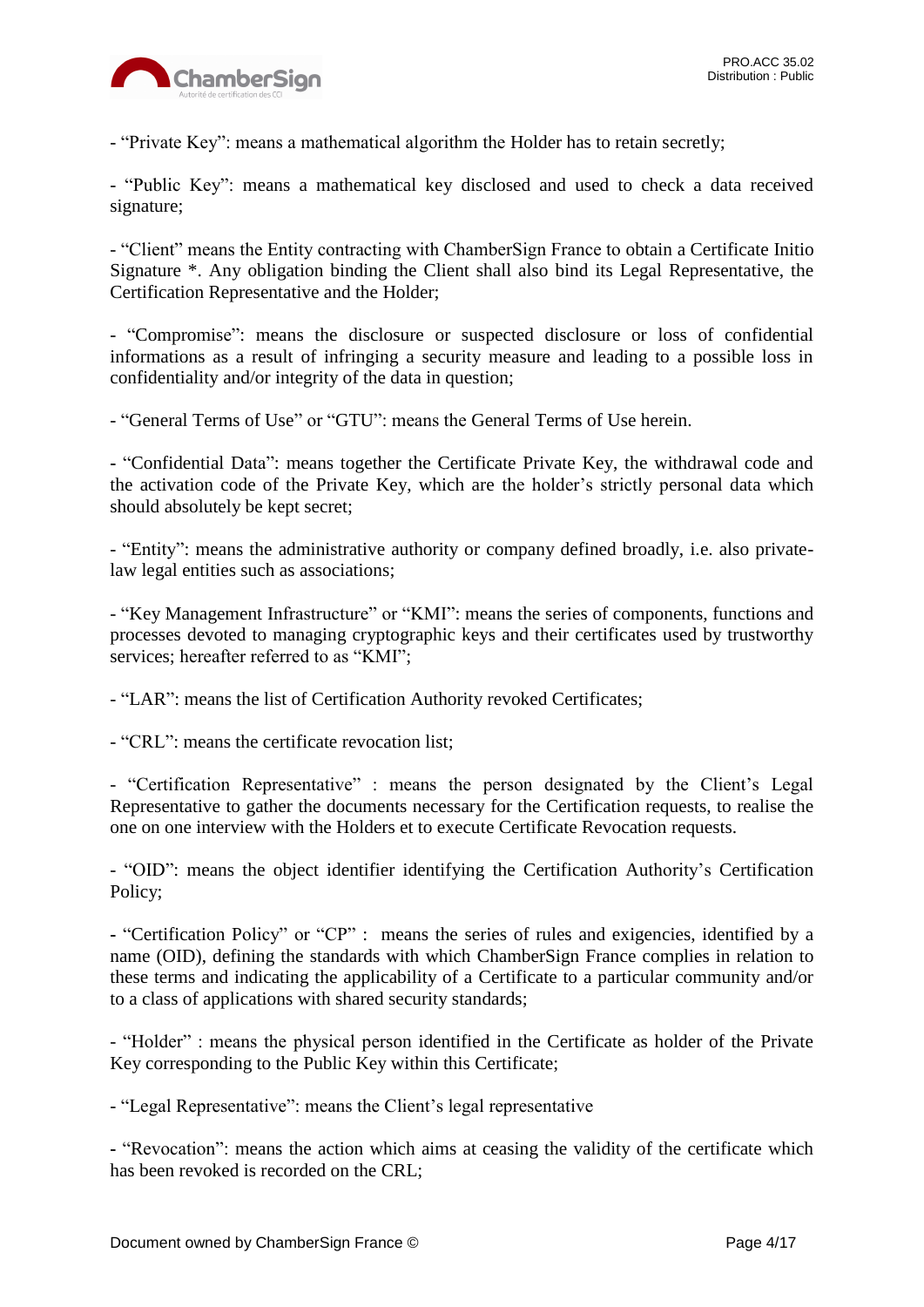

- "Private Key": means a mathematical algorithm the Holder has to retain secretly;

- "Public Key": means a mathematical key disclosed and used to check a data received signature;

- "Client" means the Entity contracting with ChamberSign France to obtain a Certificate Initio Signature \*. Any obligation binding the Client shall also bind its Legal Representative, the Certification Representative and the Holder;

- "Compromise": means the disclosure or suspected disclosure or loss of confidential informations as a result of infringing a security measure and leading to a possible loss in confidentiality and/or integrity of the data in question;

- "General Terms of Use" or "GTU": means the General Terms of Use herein.

**-** "Confidential Data": means together the Certificate Private Key, the withdrawal code and the activation code of the Private Key, which are the holder's strictly personal data which should absolutely be kept secret;

- "Entity": means the administrative authority or company defined broadly, i.e. also privatelaw legal entities such as associations;

- "Key Management Infrastructure" or "KMI": means the series of components, functions and processes devoted to managing cryptographic keys and their certificates used by trustworthy services: hereafter referred to as "KMI":

- "LAR": means the list of Certification Authority revoked Certificates;

- "CRL": means the certificate revocation list;

- "Certification Representative" : means the person designated by the Client's Legal Representative to gather the documents necessary for the Certification requests, to realise the one on one interview with the Holders et to execute Certificate Revocation requests.

- "OID": means the object identifier identifying the Certification Authority's Certification Policy;

**-** "Certification Policy" or "CP" : means the series of rules and exigencies, identified by a name (OID), defining the standards with which ChamberSign France complies in relation to these terms and indicating the applicability of a Certificate to a particular community and/or to a class of applications with shared security standards;

- "Holder" : means the physical person identified in the Certificate as holder of the Private Key corresponding to the Public Key within this Certificate;

- "Legal Representative": means the Client's legal representative

**-** "Revocation": means the action which aims at ceasing the validity of the certificate which has been revoked is recorded on the CRL;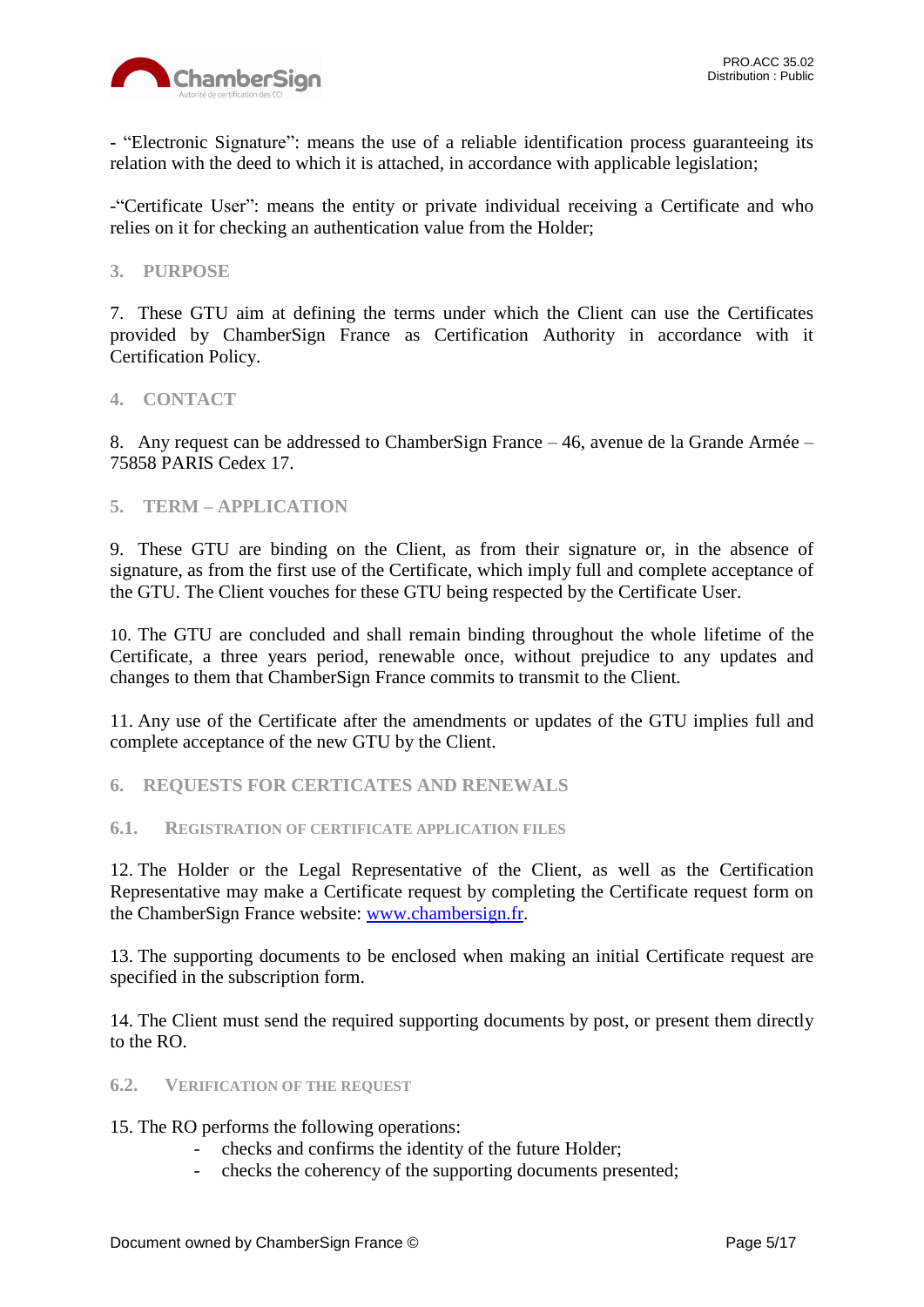

**-** "Electronic Signature": means the use of a reliable identification process guaranteeing its relation with the deed to which it is attached, in accordance with applicable legislation;

-"Certificate User": means the entity or private individual receiving a Certificate and who relies on it for checking an authentication value from the Holder;

### <span id="page-4-0"></span>**3. PURPOSE**

7. These GTU aim at defining the terms under which the Client can use the Certificates provided by ChamberSign France as Certification Authority in accordance with it Certification Policy.

### <span id="page-4-1"></span>**4. CONTACT**

8. Any request can be addressed to ChamberSign France – 46, avenue de la Grande Armée – 75858 PARIS Cedex 17.

<span id="page-4-2"></span>**5. TERM – APPLICATION**

9. These GTU are binding on the Client, as from their signature or, in the absence of signature, as from the first use of the Certificate, which imply full and complete acceptance of the GTU. The Client vouches for these GTU being respected by the Certificate User.

10. The GTU are concluded and shall remain binding throughout the whole lifetime of the Certificate, a three years period, renewable once, without prejudice to any updates and changes to them that ChamberSign France commits to transmit to the Client.

11. Any use of the Certificate after the amendments or updates of the GTU implies full and complete acceptance of the new GTU by the Client.

- <span id="page-4-3"></span>**6. REQUESTS FOR CERTICATES AND RENEWALS**
- <span id="page-4-4"></span>**6.1. REGISTRATION OF CERTIFICATE APPLICATION FILES**

12. The Holder or the Legal Representative of the Client, as well as the Certification Representative may make a Certificate request by completing the Certificate request form on the ChamberSign France website: [www.chambersign.fr.](http://www.chambersign.fr/)

13. The supporting documents to be enclosed when making an initial Certificate request are specified in the subscription form.

14. The Client must send the required supporting documents by post, or present them directly to the RO.

<span id="page-4-5"></span>**6.2. VERIFICATION OF THE REQUEST**

15. The RO performs the following operations:

- checks and confirms the identity of the future Holder;
- checks the coherency of the supporting documents presented;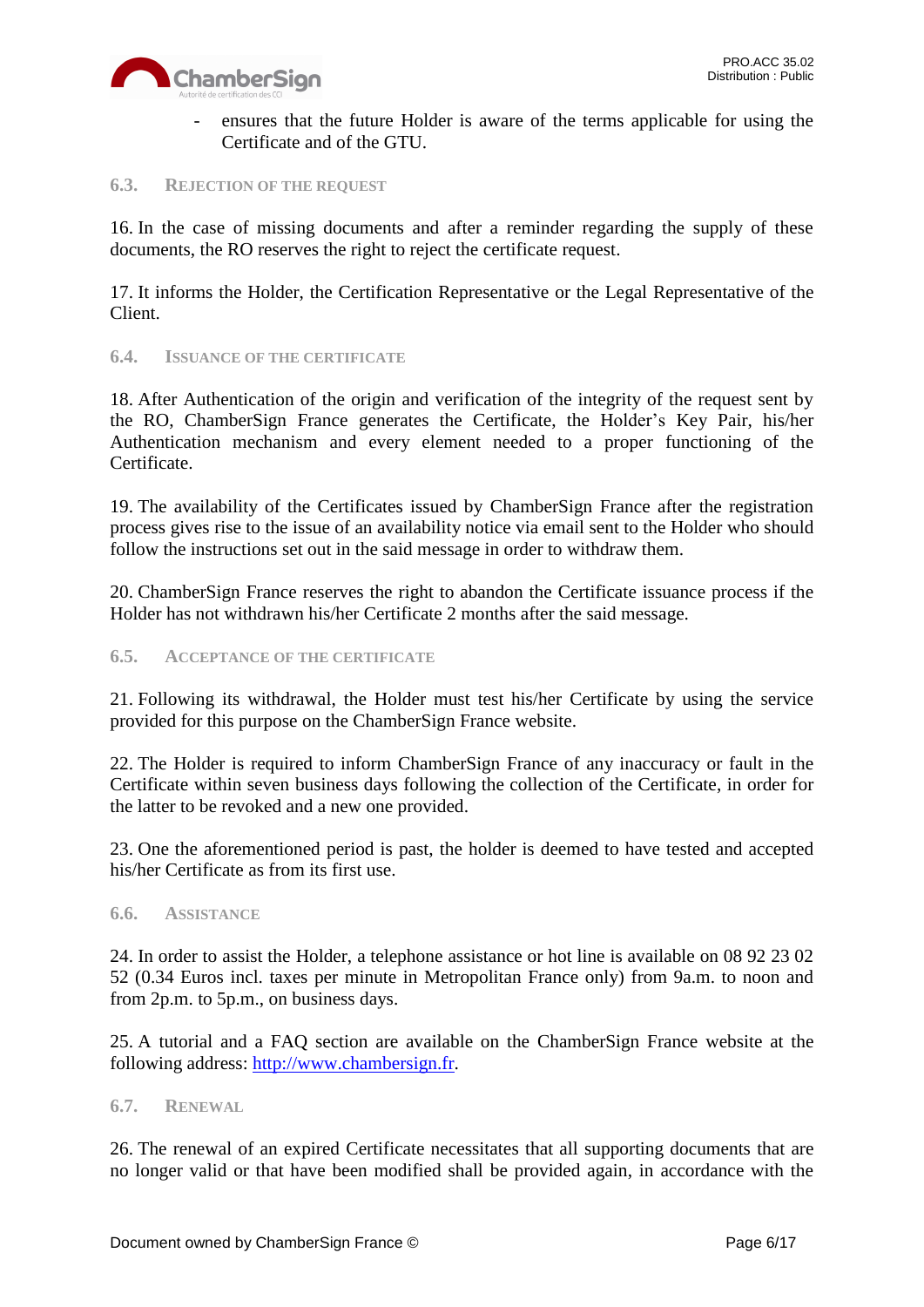

ensures that the future Holder is aware of the terms applicable for using the Certificate and of the GTU.

#### <span id="page-5-0"></span>**6.3. REJECTION OF THE REQUEST**

16. In the case of missing documents and after a reminder regarding the supply of these documents, the RO reserves the right to reject the certificate request.

17. It informs the Holder, the Certification Representative or the Legal Representative of the Client.

<span id="page-5-1"></span>**6.4. ISSUANCE OF THE CERTIFICATE**

18. After Authentication of the origin and verification of the integrity of the request sent by the RO, ChamberSign France generates the Certificate, the Holder's Key Pair, his/her Authentication mechanism and every element needed to a proper functioning of the Certificate.

19. The availability of the Certificates issued by ChamberSign France after the registration process gives rise to the issue of an availability notice via email sent to the Holder who should follow the instructions set out in the said message in order to withdraw them.

20. ChamberSign France reserves the right to abandon the Certificate issuance process if the Holder has not withdrawn his/her Certificate 2 months after the said message.

# <span id="page-5-2"></span>**6.5. ACCEPTANCE OF THE CERTIFICATE**

21. Following its withdrawal, the Holder must test his/her Certificate by using the service provided for this purpose on the ChamberSign France website.

22. The Holder is required to inform ChamberSign France of any inaccuracy or fault in the Certificate within seven business days following the collection of the Certificate, in order for the latter to be revoked and a new one provided.

23. One the aforementioned period is past, the holder is deemed to have tested and accepted his/her Certificate as from its first use.

# <span id="page-5-3"></span>**6.6. ASSISTANCE**

24. In order to assist the Holder, a telephone assistance or hot line is available on 08 92 23 02 52 (0.34 Euros incl. taxes per minute in Metropolitan France only) from 9a.m. to noon and from 2p.m. to 5p.m., on business days.

25. A tutorial and a FAQ section are available on the ChamberSign France website at the following address: [http://www.chambersign.fr.](http://www.chambersign.fr/)

#### <span id="page-5-4"></span>**6.7. RENEWAL**

26. The renewal of an expired Certificate necessitates that all supporting documents that are no longer valid or that have been modified shall be provided again, in accordance with the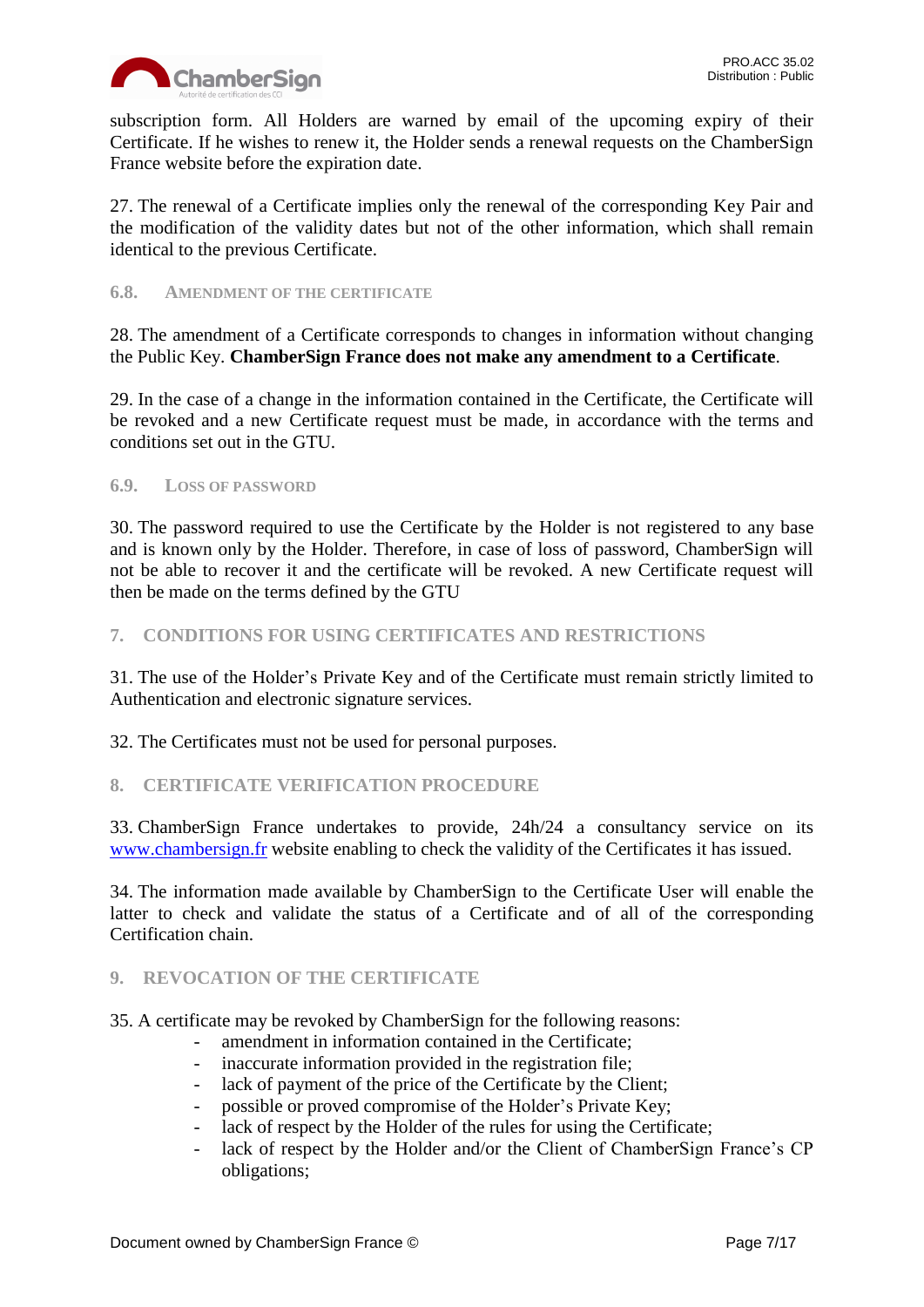

subscription form. All Holders are warned by email of the upcoming expiry of their Certificate. If he wishes to renew it, the Holder sends a renewal requests on the ChamberSign France website before the expiration date.

27. The renewal of a Certificate implies only the renewal of the corresponding Key Pair and the modification of the validity dates but not of the other information, which shall remain identical to the previous Certificate.

#### <span id="page-6-0"></span>**6.8. AMENDMENT OF THE CERTIFICATE**

28. The amendment of a Certificate corresponds to changes in information without changing the Public Key. **ChamberSign France does not make any amendment to a Certificate**.

29. In the case of a change in the information contained in the Certificate, the Certificate will be revoked and a new Certificate request must be made, in accordance with the terms and conditions set out in the GTU.

### <span id="page-6-1"></span>**6.9. LOSS OF PASSWORD**

30. The password required to use the Certificate by the Holder is not registered to any base and is known only by the Holder. Therefore, in case of loss of password, ChamberSign will not be able to recover it and the certificate will be revoked. A new Certificate request will then be made on the terms defined by the GTU

# <span id="page-6-2"></span>**7. CONDITIONS FOR USING CERTIFICATES AND RESTRICTIONS**

31. The use of the Holder's Private Key and of the Certificate must remain strictly limited to Authentication and electronic signature services.

32. The Certificates must not be used for personal purposes.

### <span id="page-6-3"></span>**8. CERTIFICATE VERIFICATION PROCEDURE**

33. ChamberSign France undertakes to provide, 24h/24 a consultancy service on its [www.chambersign.fr](http://www.chambersign.fr/) website enabling to check the validity of the Certificates it has issued.

34. The information made available by ChamberSign to the Certificate User will enable the latter to check and validate the status of a Certificate and of all of the corresponding Certification chain.

## <span id="page-6-4"></span>**9. REVOCATION OF THE CERTIFICATE**

35. A certificate may be revoked by ChamberSign for the following reasons:

- amendment in information contained in the Certificate;
- inaccurate information provided in the registration file;
- lack of payment of the price of the Certificate by the Client;
- possible or proved compromise of the Holder's Private Key;
- lack of respect by the Holder of the rules for using the Certificate;
- lack of respect by the Holder and/or the Client of ChamberSign France's CP obligations;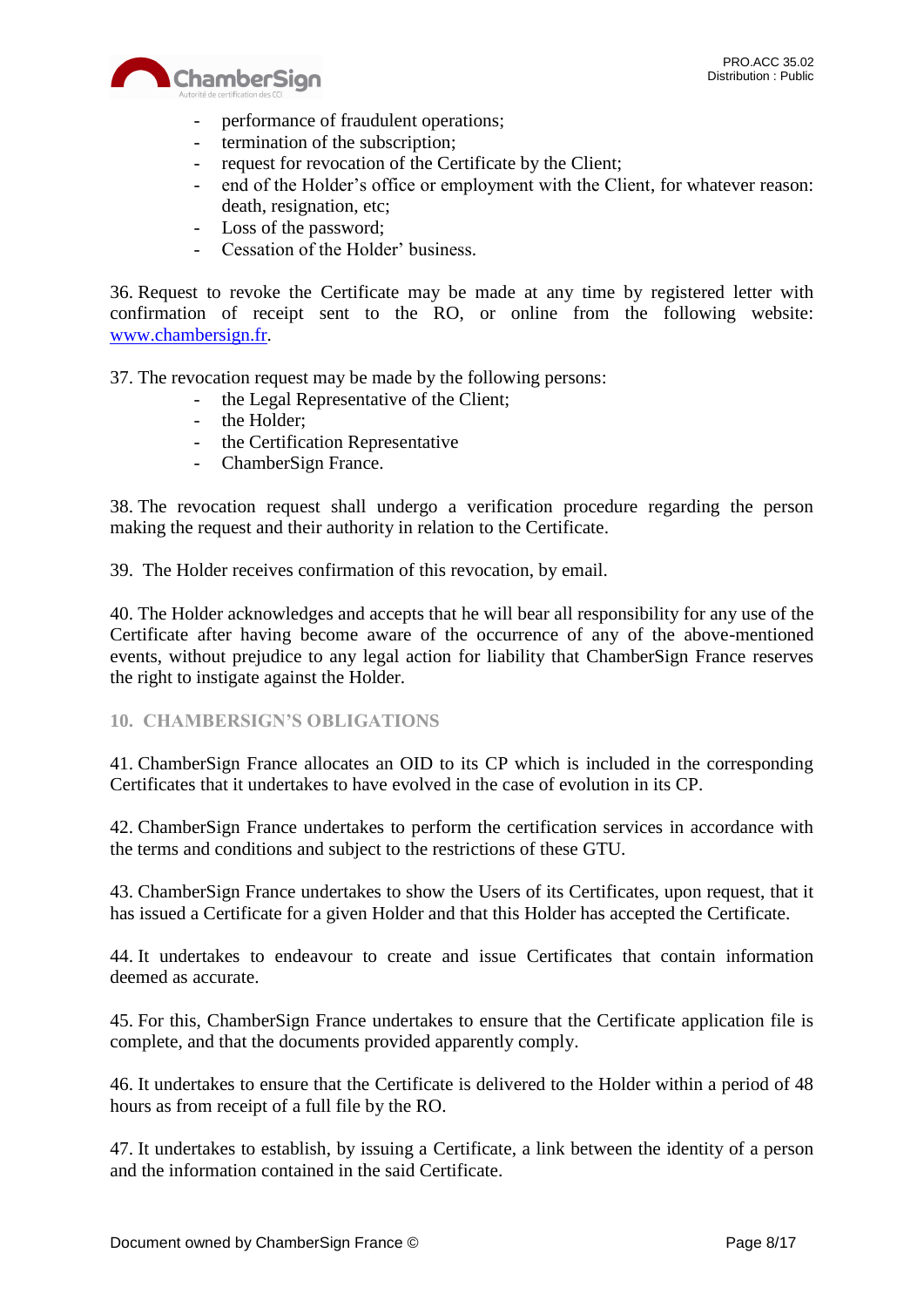

- performance of fraudulent operations;
- termination of the subscription;
- request for revocation of the Certificate by the Client;
- end of the Holder's office or employment with the Client, for whatever reason: death, resignation, etc;
- Loss of the password;
- Cessation of the Holder' business.

36. Request to revoke the Certificate may be made at any time by registered letter with confirmation of receipt sent to the RO, or online from the following website: [www.chambersign.fr.](http://www.chambersign.fr/)

37. The revocation request may be made by the following persons:

- the Legal Representative of the Client;
- the Holder;
- the Certification Representative
- ChamberSign France.

38. The revocation request shall undergo a verification procedure regarding the person making the request and their authority in relation to the Certificate.

39. The Holder receives confirmation of this revocation, by email.

40. The Holder acknowledges and accepts that he will bear all responsibility for any use of the Certificate after having become aware of the occurrence of any of the above-mentioned events, without prejudice to any legal action for liability that ChamberSign France reserves the right to instigate against the Holder.

### <span id="page-7-0"></span>**10. CHAMBERSIGN'S OBLIGATIONS**

41. ChamberSign France allocates an OID to its CP which is included in the corresponding Certificates that it undertakes to have evolved in the case of evolution in its CP.

42. ChamberSign France undertakes to perform the certification services in accordance with the terms and conditions and subject to the restrictions of these GTU.

43. ChamberSign France undertakes to show the Users of its Certificates, upon request, that it has issued a Certificate for a given Holder and that this Holder has accepted the Certificate.

44. It undertakes to endeavour to create and issue Certificates that contain information deemed as accurate.

45. For this, ChamberSign France undertakes to ensure that the Certificate application file is complete, and that the documents provided apparently comply.

46. It undertakes to ensure that the Certificate is delivered to the Holder within a period of 48 hours as from receipt of a full file by the RO.

47. It undertakes to establish, by issuing a Certificate, a link between the identity of a person and the information contained in the said Certificate.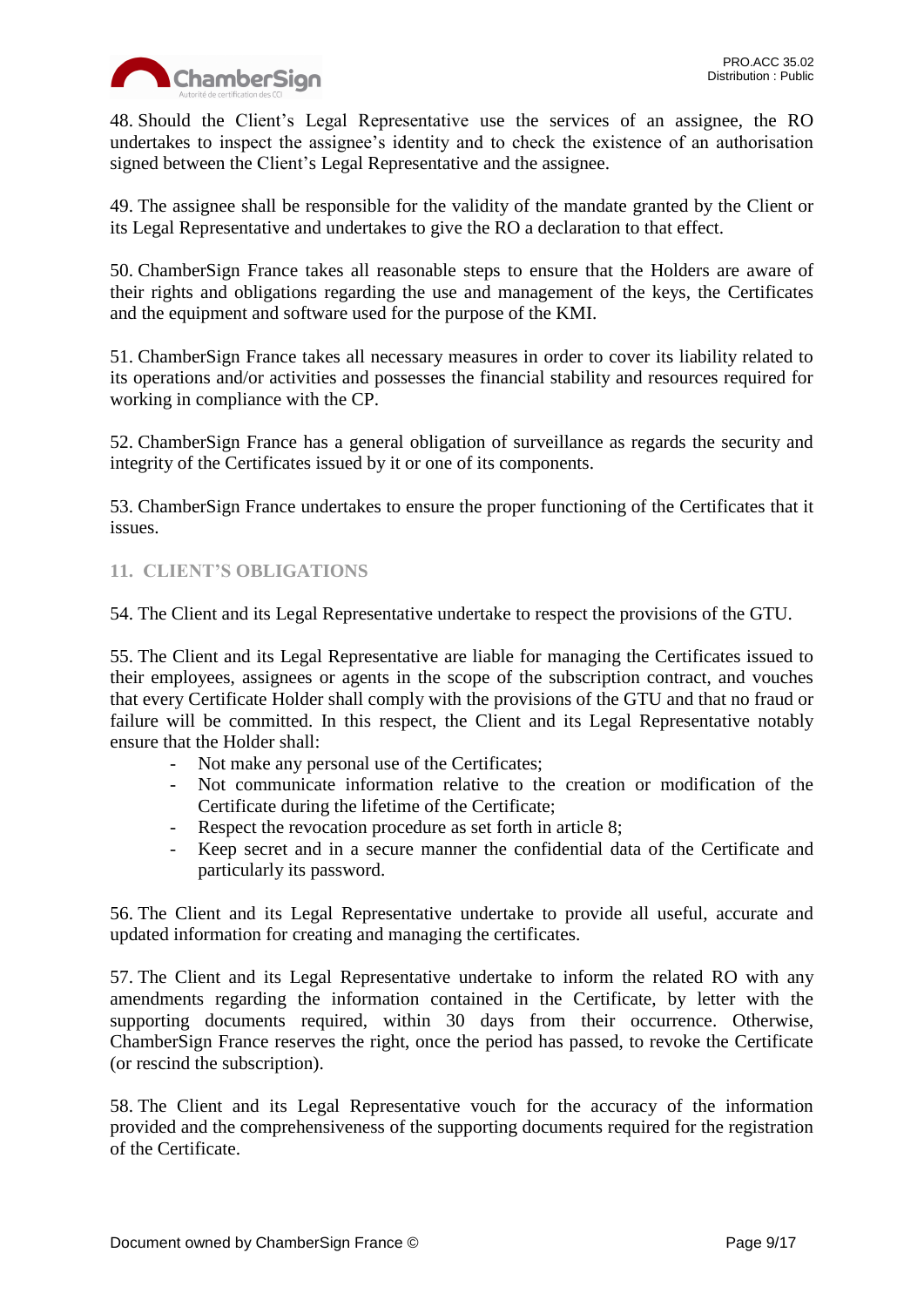

48. Should the Client's Legal Representative use the services of an assignee, the RO undertakes to inspect the assignee's identity and to check the existence of an authorisation signed between the Client's Legal Representative and the assignee.

49. The assignee shall be responsible for the validity of the mandate granted by the Client or its Legal Representative and undertakes to give the RO a declaration to that effect.

50. ChamberSign France takes all reasonable steps to ensure that the Holders are aware of their rights and obligations regarding the use and management of the keys, the Certificates and the equipment and software used for the purpose of the KMI.

51. ChamberSign France takes all necessary measures in order to cover its liability related to its operations and/or activities and possesses the financial stability and resources required for working in compliance with the CP.

52. ChamberSign France has a general obligation of surveillance as regards the security and integrity of the Certificates issued by it or one of its components.

53. ChamberSign France undertakes to ensure the proper functioning of the Certificates that it issues.

# <span id="page-8-0"></span>**11. CLIENT'S OBLIGATIONS**

54. The Client and its Legal Representative undertake to respect the provisions of the GTU.

55. The Client and its Legal Representative are liable for managing the Certificates issued to their employees, assignees or agents in the scope of the subscription contract, and vouches that every Certificate Holder shall comply with the provisions of the GTU and that no fraud or failure will be committed. In this respect, the Client and its Legal Representative notably ensure that the Holder shall:

- Not make any personal use of the Certificates;
- Not communicate information relative to the creation or modification of the Certificate during the lifetime of the Certificate;
- Respect the revocation procedure as set forth in article 8;
- Keep secret and in a secure manner the confidential data of the Certificate and particularly its password.

56. The Client and its Legal Representative undertake to provide all useful, accurate and updated information for creating and managing the certificates.

57. The Client and its Legal Representative undertake to inform the related RO with any amendments regarding the information contained in the Certificate, by letter with the supporting documents required, within 30 days from their occurrence. Otherwise, ChamberSign France reserves the right, once the period has passed, to revoke the Certificate (or rescind the subscription).

58. The Client and its Legal Representative vouch for the accuracy of the information provided and the comprehensiveness of the supporting documents required for the registration of the Certificate.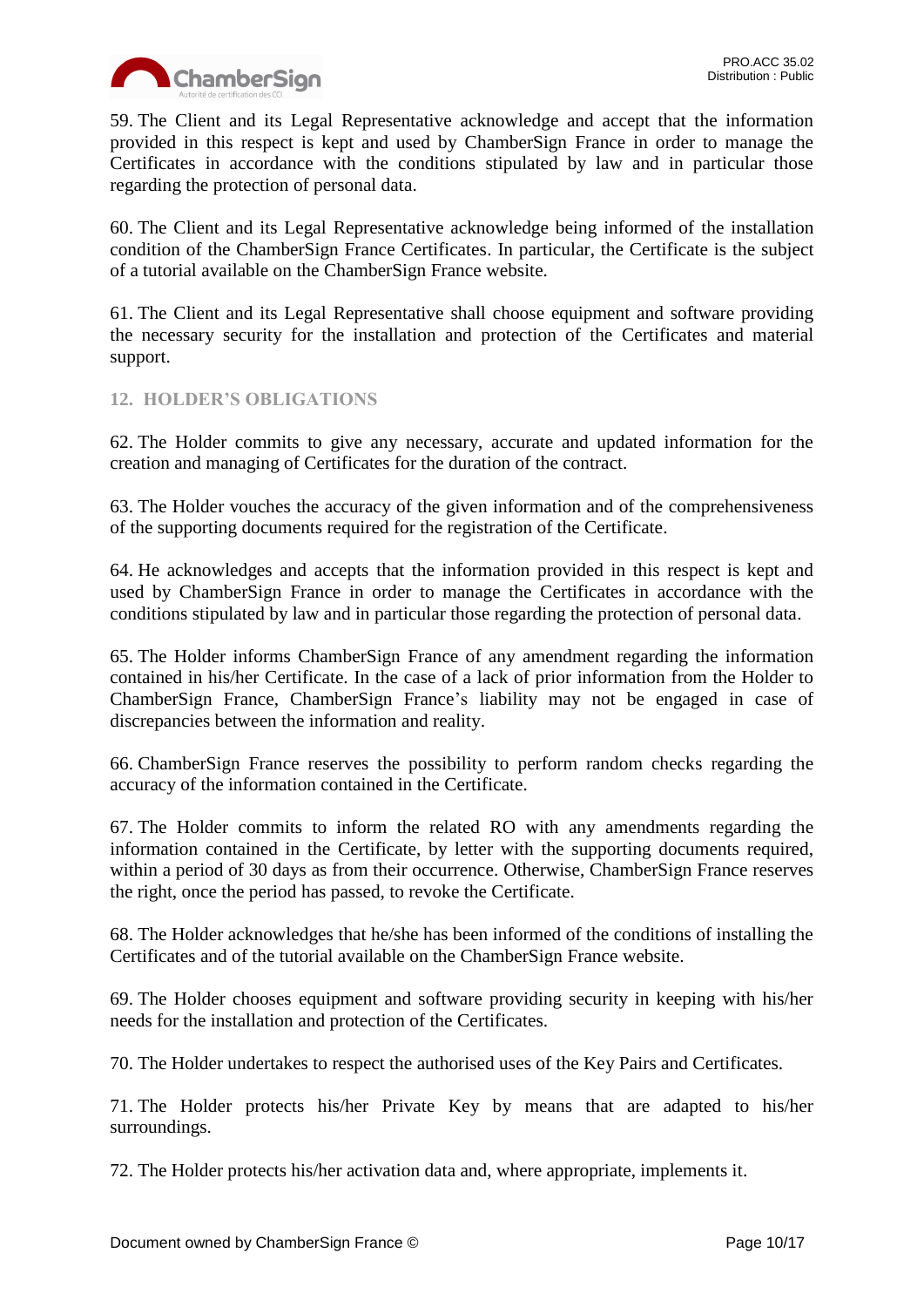

59. The Client and its Legal Representative acknowledge and accept that the information provided in this respect is kept and used by ChamberSign France in order to manage the Certificates in accordance with the conditions stipulated by law and in particular those regarding the protection of personal data.

60. The Client and its Legal Representative acknowledge being informed of the installation condition of the ChamberSign France Certificates. In particular, the Certificate is the subject of a tutorial available on the ChamberSign France website.

61. The Client and its Legal Representative shall choose equipment and software providing the necessary security for the installation and protection of the Certificates and material support.

# <span id="page-9-0"></span>**12. HOLDER'S OBLIGATIONS**

62. The Holder commits to give any necessary, accurate and updated information for the creation and managing of Certificates for the duration of the contract.

63. The Holder vouches the accuracy of the given information and of the comprehensiveness of the supporting documents required for the registration of the Certificate.

64. He acknowledges and accepts that the information provided in this respect is kept and used by ChamberSign France in order to manage the Certificates in accordance with the conditions stipulated by law and in particular those regarding the protection of personal data.

65. The Holder informs ChamberSign France of any amendment regarding the information contained in his/her Certificate. In the case of a lack of prior information from the Holder to ChamberSign France, ChamberSign France's liability may not be engaged in case of discrepancies between the information and reality.

66. ChamberSign France reserves the possibility to perform random checks regarding the accuracy of the information contained in the Certificate.

67. The Holder commits to inform the related RO with any amendments regarding the information contained in the Certificate, by letter with the supporting documents required, within a period of 30 days as from their occurrence. Otherwise, ChamberSign France reserves the right, once the period has passed, to revoke the Certificate.

68. The Holder acknowledges that he/she has been informed of the conditions of installing the Certificates and of the tutorial available on the ChamberSign France website.

69. The Holder chooses equipment and software providing security in keeping with his/her needs for the installation and protection of the Certificates.

70. The Holder undertakes to respect the authorised uses of the Key Pairs and Certificates.

71. The Holder protects his/her Private Key by means that are adapted to his/her surroundings.

72. The Holder protects his/her activation data and, where appropriate, implements it.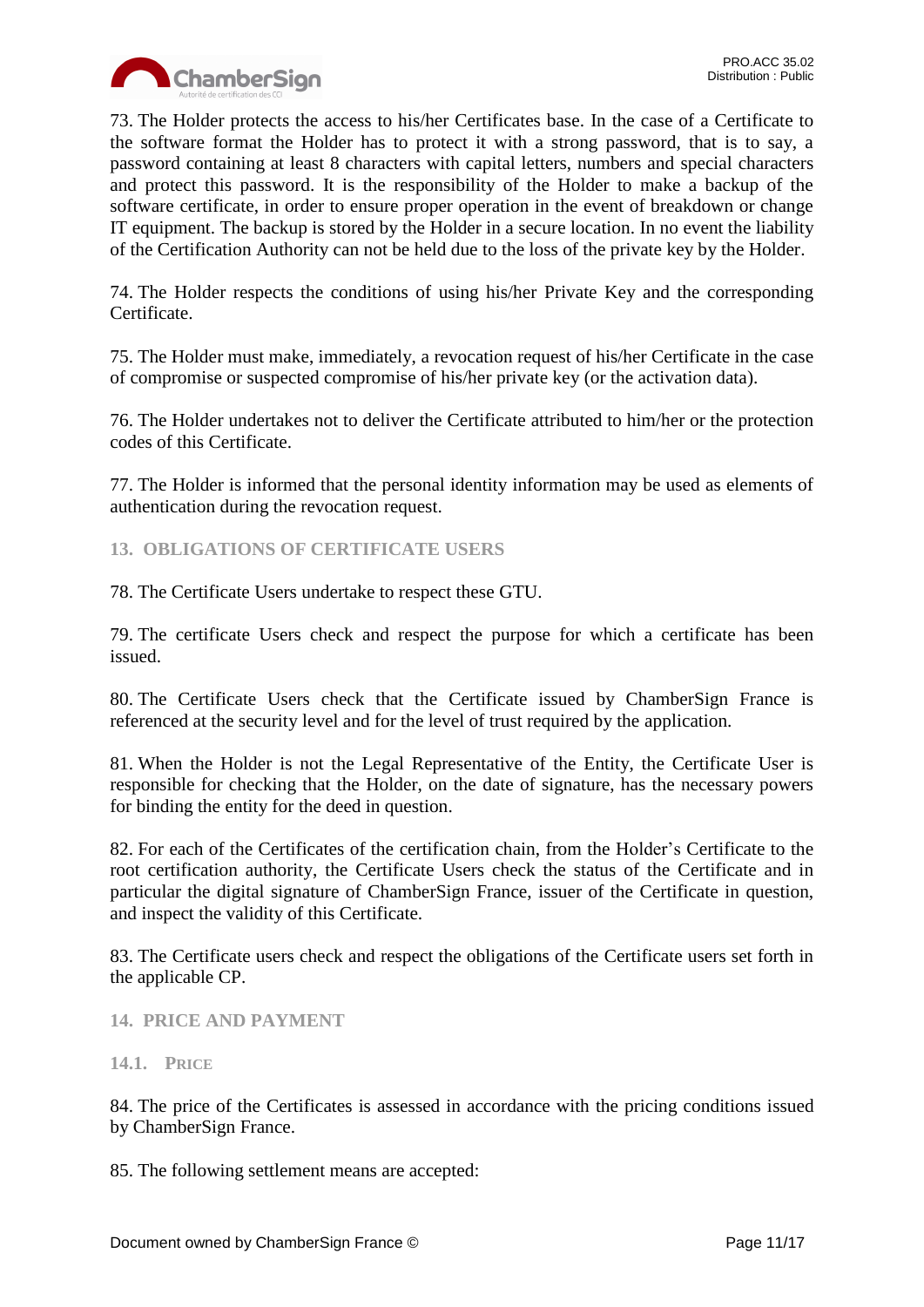

73. The Holder protects the access to his/her Certificates base. In the case of a Certificate to the software format the Holder has to protect it with a strong password, that is to say, a password containing at least 8 characters with capital letters, numbers and special characters and protect this password. It is the responsibility of the Holder to make a backup of the software certificate, in order to ensure proper operation in the event of breakdown or change IT equipment. The backup is stored by the Holder in a secure location. In no event the liability of the Certification Authority can not be held due to the loss of the private key by the Holder.

74. The Holder respects the conditions of using his/her Private Key and the corresponding Certificate.

75. The Holder must make, immediately, a revocation request of his/her Certificate in the case of compromise or suspected compromise of his/her private key (or the activation data).

76. The Holder undertakes not to deliver the Certificate attributed to him/her or the protection codes of this Certificate.

77. The Holder is informed that the personal identity information may be used as elements of authentication during the revocation request.

<span id="page-10-0"></span>**13. OBLIGATIONS OF CERTIFICATE USERS**

78. The Certificate Users undertake to respect these GTU.

79. The certificate Users check and respect the purpose for which a certificate has been issued.

80. The Certificate Users check that the Certificate issued by ChamberSign France is referenced at the security level and for the level of trust required by the application.

81. When the Holder is not the Legal Representative of the Entity, the Certificate User is responsible for checking that the Holder, on the date of signature, has the necessary powers for binding the entity for the deed in question.

82. For each of the Certificates of the certification chain, from the Holder's Certificate to the root certification authority, the Certificate Users check the status of the Certificate and in particular the digital signature of ChamberSign France, issuer of the Certificate in question, and inspect the validity of this Certificate.

83. The Certificate users check and respect the obligations of the Certificate users set forth in the applicable CP.

<span id="page-10-1"></span>**14. PRICE AND PAYMENT**

<span id="page-10-2"></span>**14.1. PRICE**

84. The price of the Certificates is assessed in accordance with the pricing conditions issued by ChamberSign France.

85. The following settlement means are accepted: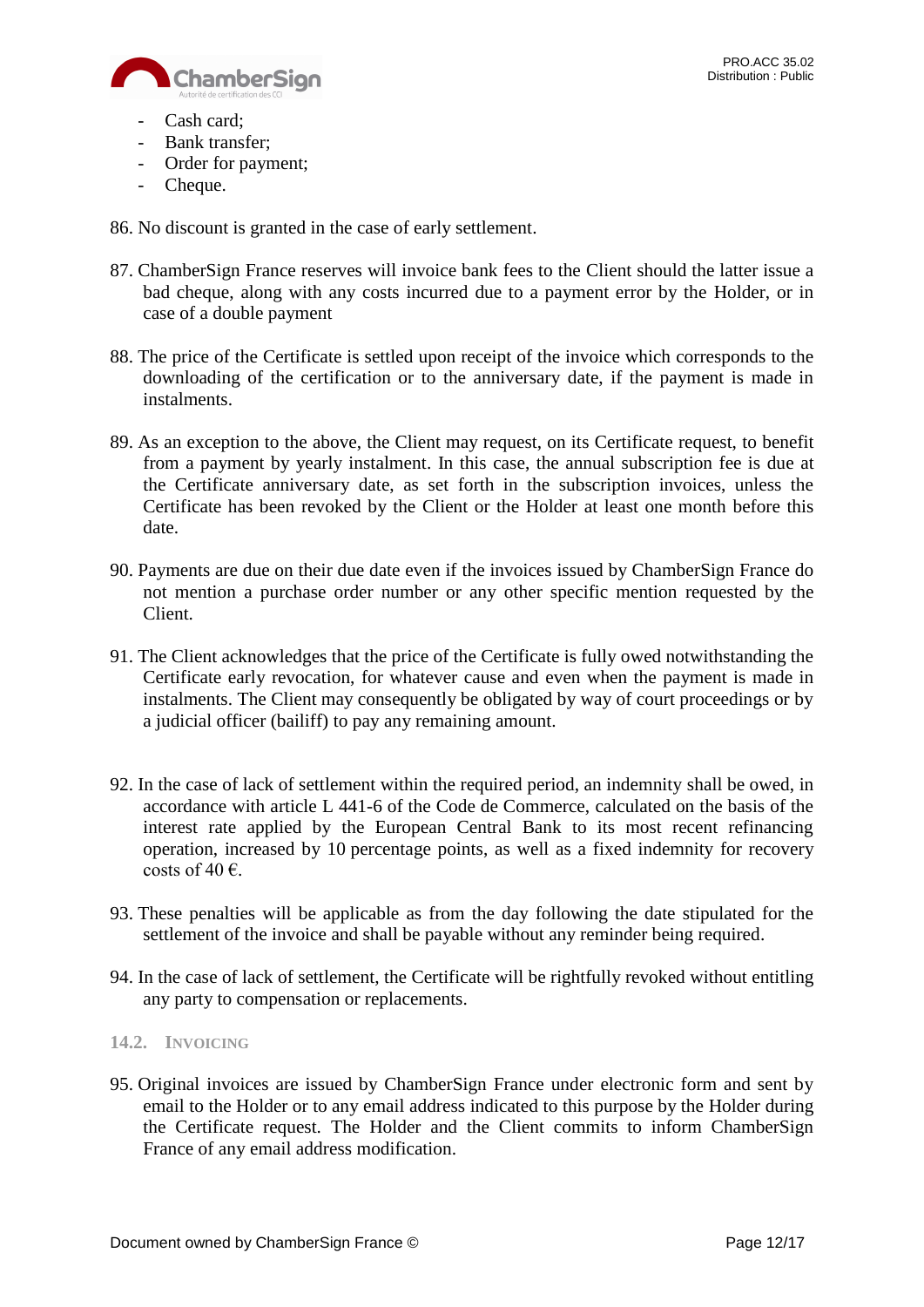

- Cash card;
- Bank transfer;
- Order for payment;
- Cheque.

86. No discount is granted in the case of early settlement.

- 87. ChamberSign France reserves will invoice bank fees to the Client should the latter issue a bad cheque, along with any costs incurred due to a payment error by the Holder, or in case of a double payment
- 88. The price of the Certificate is settled upon receipt of the invoice which corresponds to the downloading of the certification or to the anniversary date, if the payment is made in instalments.
- 89. As an exception to the above, the Client may request, on its Certificate request, to benefit from a payment by yearly instalment. In this case, the annual subscription fee is due at the Certificate anniversary date, as set forth in the subscription invoices, unless the Certificate has been revoked by the Client or the Holder at least one month before this date.
- 90. Payments are due on their due date even if the invoices issued by ChamberSign France do not mention a purchase order number or any other specific mention requested by the Client.
- 91. The Client acknowledges that the price of the Certificate is fully owed notwithstanding the Certificate early revocation, for whatever cause and even when the payment is made in instalments. The Client may consequently be obligated by way of court proceedings or by a judicial officer (bailiff) to pay any remaining amount.
- 92. In the case of lack of settlement within the required period, an indemnity shall be owed, in accordance with article L 441-6 of the Code de Commerce, calculated on the basis of the interest rate applied by the European Central Bank to its most recent refinancing operation, increased by 10 percentage points, as well as a fixed indemnity for recovery costs of 40  $\epsilon$ .
- 93. These penalties will be applicable as from the day following the date stipulated for the settlement of the invoice and shall be payable without any reminder being required.
- 94. In the case of lack of settlement, the Certificate will be rightfully revoked without entitling any party to compensation or replacements.

#### <span id="page-11-0"></span>**14.2. INVOICING**

95. Original invoices are issued by ChamberSign France under electronic form and sent by email to the Holder or to any email address indicated to this purpose by the Holder during the Certificate request. The Holder and the Client commits to inform ChamberSign France of any email address modification.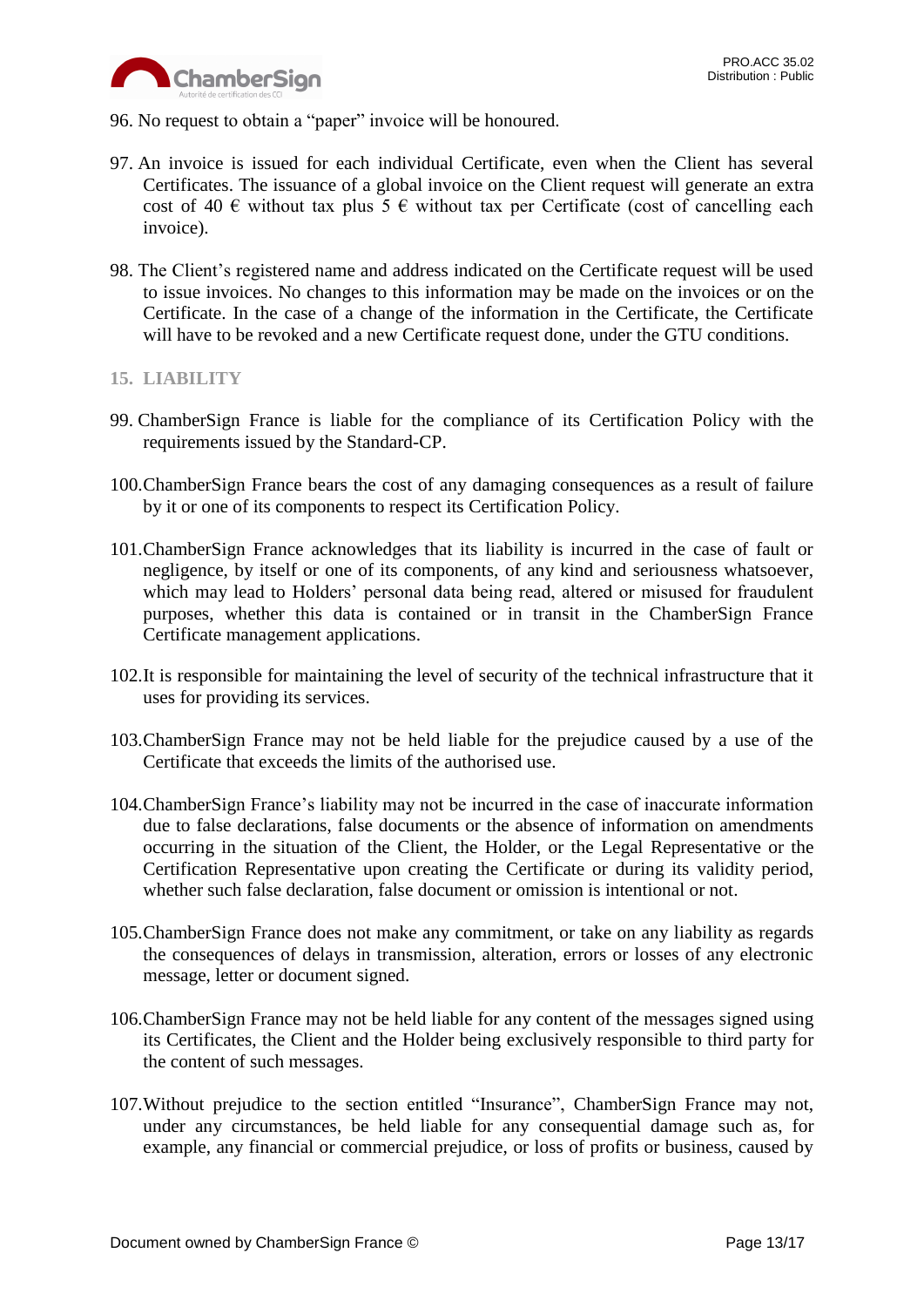

- 96. No request to obtain a "paper" invoice will be honoured.
- 97. An invoice is issued for each individual Certificate, even when the Client has several Certificates. The issuance of a global invoice on the Client request will generate an extra cost of 40  $\epsilon$  without tax plus 5  $\epsilon$  without tax per Certificate (cost of cancelling each invoice).
- 98. The Client's registered name and address indicated on the Certificate request will be used to issue invoices. No changes to this information may be made on the invoices or on the Certificate. In the case of a change of the information in the Certificate, the Certificate will have to be revoked and a new Certificate request done, under the GTU conditions.

### <span id="page-12-0"></span>**15. LIABILITY**

- 99. ChamberSign France is liable for the compliance of its Certification Policy with the requirements issued by the Standard-CP.
- 100.ChamberSign France bears the cost of any damaging consequences as a result of failure by it or one of its components to respect its Certification Policy.
- 101.ChamberSign France acknowledges that its liability is incurred in the case of fault or negligence, by itself or one of its components, of any kind and seriousness whatsoever, which may lead to Holders' personal data being read, altered or misused for fraudulent purposes, whether this data is contained or in transit in the ChamberSign France Certificate management applications.
- 102.It is responsible for maintaining the level of security of the technical infrastructure that it uses for providing its services.
- 103.ChamberSign France may not be held liable for the prejudice caused by a use of the Certificate that exceeds the limits of the authorised use.
- 104.ChamberSign France's liability may not be incurred in the case of inaccurate information due to false declarations, false documents or the absence of information on amendments occurring in the situation of the Client, the Holder, or the Legal Representative or the Certification Representative upon creating the Certificate or during its validity period, whether such false declaration, false document or omission is intentional or not.
- 105.ChamberSign France does not make any commitment, or take on any liability as regards the consequences of delays in transmission, alteration, errors or losses of any electronic message, letter or document signed.
- 106.ChamberSign France may not be held liable for any content of the messages signed using its Certificates, the Client and the Holder being exclusively responsible to third party for the content of such messages.
- 107.Without prejudice to the section entitled "Insurance", ChamberSign France may not, under any circumstances, be held liable for any consequential damage such as, for example, any financial or commercial prejudice, or loss of profits or business, caused by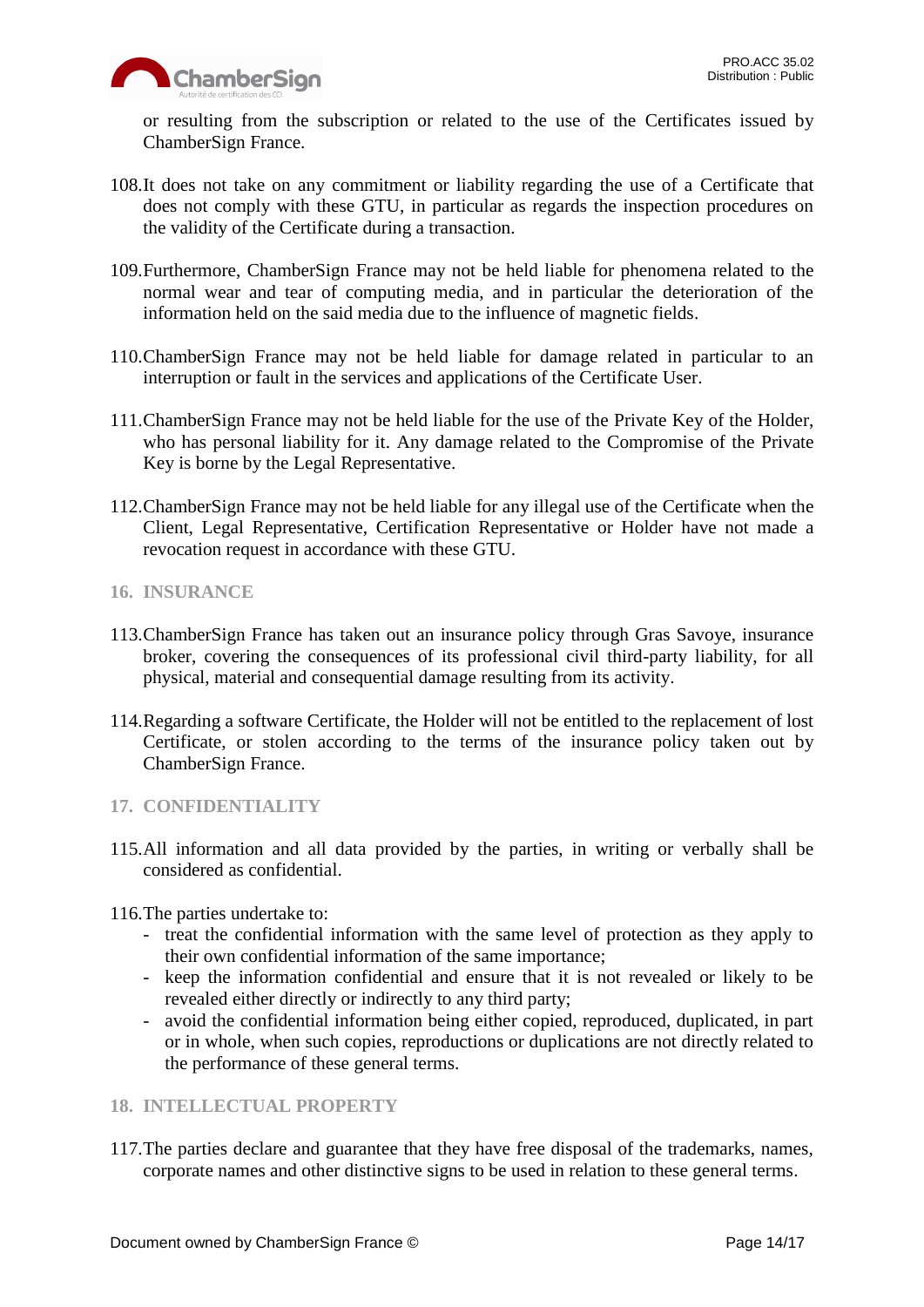

or resulting from the subscription or related to the use of the Certificates issued by ChamberSign France.

- 108.It does not take on any commitment or liability regarding the use of a Certificate that does not comply with these GTU, in particular as regards the inspection procedures on the validity of the Certificate during a transaction.
- 109.Furthermore, ChamberSign France may not be held liable for phenomena related to the normal wear and tear of computing media, and in particular the deterioration of the information held on the said media due to the influence of magnetic fields.
- 110.ChamberSign France may not be held liable for damage related in particular to an interruption or fault in the services and applications of the Certificate User.
- 111.ChamberSign France may not be held liable for the use of the Private Key of the Holder, who has personal liability for it. Any damage related to the Compromise of the Private Key is borne by the Legal Representative.
- 112.ChamberSign France may not be held liable for any illegal use of the Certificate when the Client, Legal Representative, Certification Representative or Holder have not made a revocation request in accordance with these GTU.
- <span id="page-13-0"></span>**16. INSURANCE**
- 113.ChamberSign France has taken out an insurance policy through Gras Savoye, insurance broker, covering the consequences of its professional civil third-party liability, for all physical, material and consequential damage resulting from its activity.
- 114.Regarding a software Certificate, the Holder will not be entitled to the replacement of lost Certificate, or stolen according to the terms of the insurance policy taken out by ChamberSign France.

### <span id="page-13-1"></span>**17. CONFIDENTIALITY**

115.All information and all data provided by the parties, in writing or verbally shall be considered as confidential.

116.The parties undertake to:

- treat the confidential information with the same level of protection as they apply to their own confidential information of the same importance;
- keep the information confidential and ensure that it is not revealed or likely to be revealed either directly or indirectly to any third party;
- avoid the confidential information being either copied, reproduced, duplicated, in part or in whole, when such copies, reproductions or duplications are not directly related to the performance of these general terms.

# <span id="page-13-2"></span>**18. INTELLECTUAL PROPERTY**

117.The parties declare and guarantee that they have free disposal of the trademarks, names, corporate names and other distinctive signs to be used in relation to these general terms.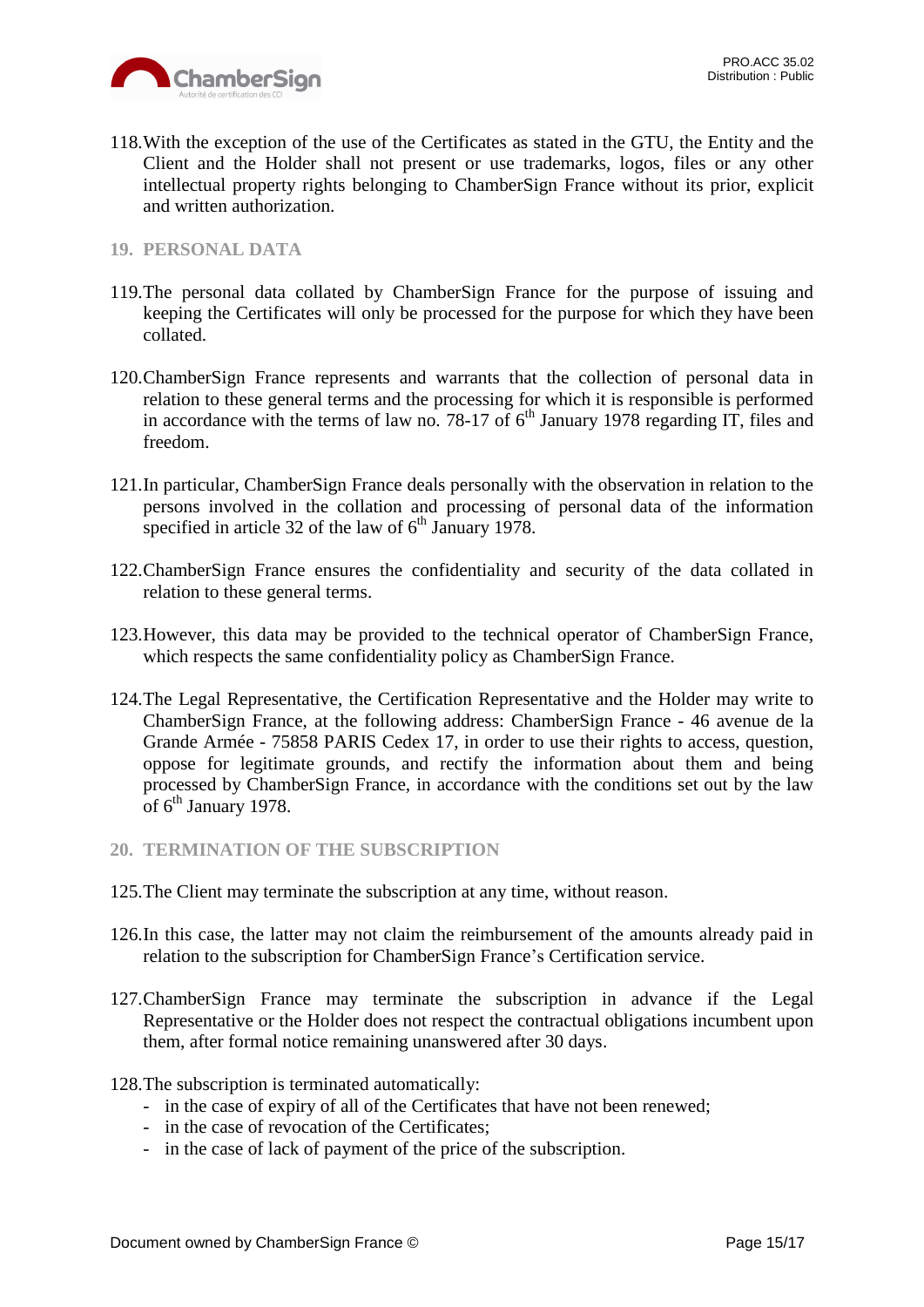

118.With the exception of the use of the Certificates as stated in the GTU, the Entity and the Client and the Holder shall not present or use trademarks, logos, files or any other intellectual property rights belonging to ChamberSign France without its prior, explicit and written authorization.

## <span id="page-14-0"></span>**19. PERSONAL DATA**

- 119.The personal data collated by ChamberSign France for the purpose of issuing and keeping the Certificates will only be processed for the purpose for which they have been collated.
- 120.ChamberSign France represents and warrants that the collection of personal data in relation to these general terms and the processing for which it is responsible is performed in accordance with the terms of law no. 78-17 of  $6<sup>th</sup>$  January 1978 regarding IT, files and freedom.
- 121.In particular, ChamberSign France deals personally with the observation in relation to the persons involved in the collation and processing of personal data of the information specified in article 32 of the law of  $6<sup>th</sup>$  January 1978.
- 122.ChamberSign France ensures the confidentiality and security of the data collated in relation to these general terms.
- 123.However, this data may be provided to the technical operator of ChamberSign France, which respects the same confidentiality policy as ChamberSign France.
- 124.The Legal Representative, the Certification Representative and the Holder may write to ChamberSign France, at the following address: ChamberSign France - 46 avenue de la Grande Armée - 75858 PARIS Cedex 17, in order to use their rights to access, question, oppose for legitimate grounds, and rectify the information about them and being processed by ChamberSign France, in accordance with the conditions set out by the law of 6<sup>th</sup> January 1978.
- <span id="page-14-1"></span>**20. TERMINATION OF THE SUBSCRIPTION**
- 125.The Client may terminate the subscription at any time, without reason.
- 126.In this case, the latter may not claim the reimbursement of the amounts already paid in relation to the subscription for ChamberSign France's Certification service.
- 127.ChamberSign France may terminate the subscription in advance if the Legal Representative or the Holder does not respect the contractual obligations incumbent upon them, after formal notice remaining unanswered after 30 days.
- 128.The subscription is terminated automatically:
	- in the case of expiry of all of the Certificates that have not been renewed;
	- in the case of revocation of the Certificates;
	- in the case of lack of payment of the price of the subscription.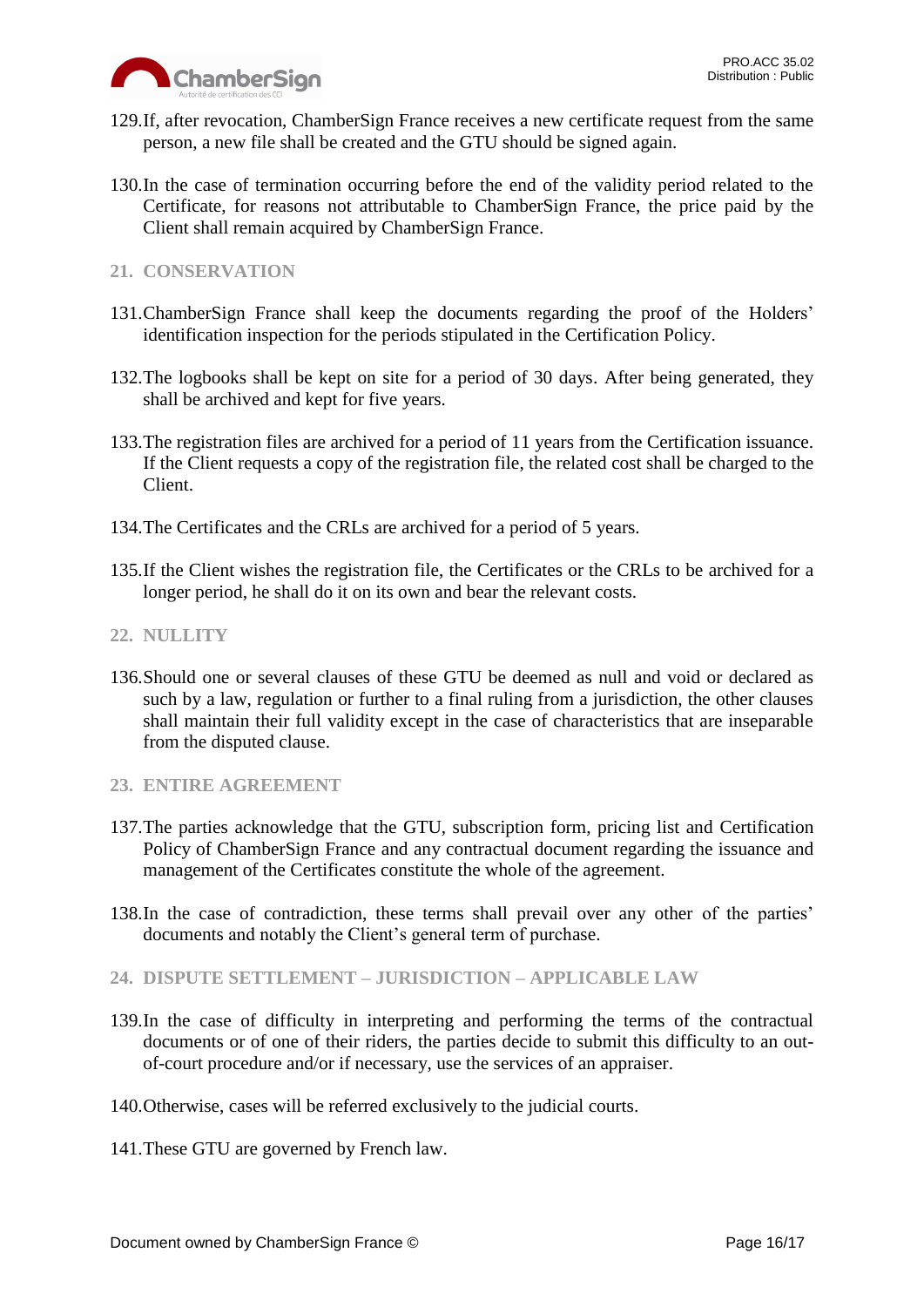

- 129.If, after revocation, ChamberSign France receives a new certificate request from the same person, a new file shall be created and the GTU should be signed again.
- 130.In the case of termination occurring before the end of the validity period related to the Certificate, for reasons not attributable to ChamberSign France, the price paid by the Client shall remain acquired by ChamberSign France.

# <span id="page-15-0"></span>**21. CONSERVATION**

- 131.ChamberSign France shall keep the documents regarding the proof of the Holders' identification inspection for the periods stipulated in the Certification Policy.
- 132.The logbooks shall be kept on site for a period of 30 days. After being generated, they shall be archived and kept for five years.
- 133.The registration files are archived for a period of 11 years from the Certification issuance. If the Client requests a copy of the registration file, the related cost shall be charged to the Client.
- 134.The Certificates and the CRLs are archived for a period of 5 years.
- 135.If the Client wishes the registration file, the Certificates or the CRLs to be archived for a longer period, he shall do it on its own and bear the relevant costs.

# <span id="page-15-1"></span>**22. NULLITY**

136.Should one or several clauses of these GTU be deemed as null and void or declared as such by a law, regulation or further to a final ruling from a jurisdiction, the other clauses shall maintain their full validity except in the case of characteristics that are inseparable from the disputed clause.

### <span id="page-15-2"></span>**23. ENTIRE AGREEMENT**

- 137.The parties acknowledge that the GTU, subscription form, pricing list and Certification Policy of ChamberSign France and any contractual document regarding the issuance and management of the Certificates constitute the whole of the agreement.
- 138.In the case of contradiction, these terms shall prevail over any other of the parties' documents and notably the Client's general term of purchase.
- <span id="page-15-3"></span>**24. DISPUTE SETTLEMENT – JURISDICTION – APPLICABLE LAW**
- 139.In the case of difficulty in interpreting and performing the terms of the contractual documents or of one of their riders, the parties decide to submit this difficulty to an outof-court procedure and/or if necessary, use the services of an appraiser.
- 140.Otherwise, cases will be referred exclusively to the judicial courts.
- 141.These GTU are governed by French law.